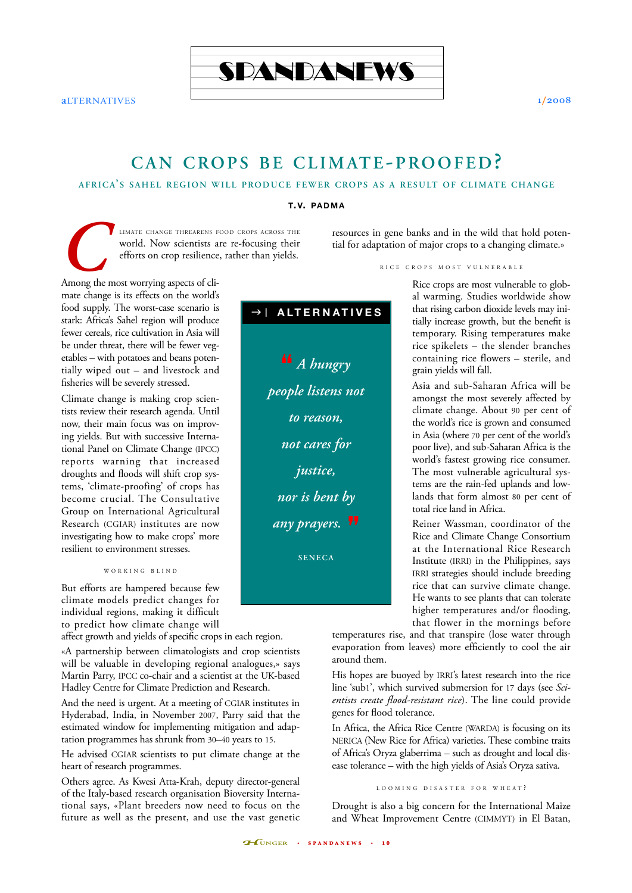

aLTERNATIVES 1/2008

# **CAN CROPS BE CLIMATE-PROOFED?**

## **AFRICA' S SAHEL REGION WILL PRODUCE FEWER CROPS AS A RESULT OF CLIMATE CHANGE**

**T.V. PADMA**

LIMATE CHANGE THREARENS FOOD CROPS ACROSS THE WORLD. NOW scientists are re-focusing their efforts on crop resilience, rather than yields.<br>Among the most worrying aspects of cliworld. Now scientists are re-focusing their efforts on crop resilience, rather than yields.

resources in gene banks and in the wild that hold potential for adaptation of major crops to a changing climate.»

mate change is its effects on the world's food supply. The worst-case scenario is stark: Africa's Sahel region will produce fewer cereals, rice cultivation in Asia will be under threat, there will be fewer vegetables – with potatoes and beans potentially wiped out – and livestock and fisheries will be severely stressed.

Climate change is making crop scientists review their research agenda. Until now, their main focus was on improving yields. But with successive International Panel on Climate Change (IPCC) reports warning that increased droughts and floods will shift crop systems, 'climate-proofing' of crops has become crucial. The Consultative Group on International Agricultural Research (CGIAR) institutes are now investigating how to make crops' more resilient to environment stresses.

#### WORKING BLIND

But efforts are hampered because few climate models predict changes for individual regions, making it difficult to predict how climate change will

affect growth and yields of specific crops in each region.

«A partnership between climatologists and crop scientists will be valuable in developing regional analogues,» says Martin Parry, IPCC co-chair and a scientist at the UK-based Hadley Centre for Climate Prediction and Research.

And the need is urgent. At a meeting of CGIAR institutes in Hyderabad, India, in November 2007, Parry said that the estimated window for implementing mitigation and adaptation programmes has shrunk from 30–40 years to 15.

He advised CGIAR scientists to put climate change at the heart of research programmes.

Others agree. As Kwesi Atta-Krah, deputy director-general of the Italy-based research organisation Bioversity International says, «Plant breeders now need to focus on the future as well as the present, and use the vast genetic



RICE CROPS MOST VULNERABLE

Rice crops are most vulnerable to global warming. Studies worldwide show that rising carbon dioxide levels may initially increase growth, but the benefit is temporary. Rising temperatures make rice spikelets – the slender branches containing rice flowers – sterile, and grain yields will fall.

Asia and sub-Saharan Africa will be amongst the most severely affected by climate change. About 90 per cent of the world's rice is grown and consumed in Asia (where 70 per cent of the world's poor live), and sub-Saharan Africa is the world's fastest growing rice consumer. The most vulnerable agricultural systems are the rain-fed uplands and lowlands that form almost 80 per cent of total rice land in Africa.

Reiner Wassman, coordinator of the Rice and Climate Change Consortium at the International Rice Research Institute (IRRI) in the Philippines, says IRRI strategies should include breeding rice that can survive climate change. He wants to see plants that can tolerate higher temperatures and/or flooding, that flower in the mornings before

temperatures rise, and that transpire (lose water through evaporation from leaves) more efficiently to cool the air around them.

His hopes are buoyed by IRRI's latest research into the rice line 'sub1', which survived submersion for 17 days (see *Scientists create flood-resistant rice*). The line could provide genes for flood tolerance.

In Africa, the Africa Rice Centre (WARDA) is focusing on its NERICA (New Rice for Africa) varieties. These combine traits of Africa's Oryza glaberrima – such as drought and local disease tolerance – with the high yields of Asia's Oryza sativa.

### LOOMING DISASTER FOR WHEAT ?

Drought is also a big concern for the International Maize and Wheat Improvement Centre (CIMMYT) in El Batan,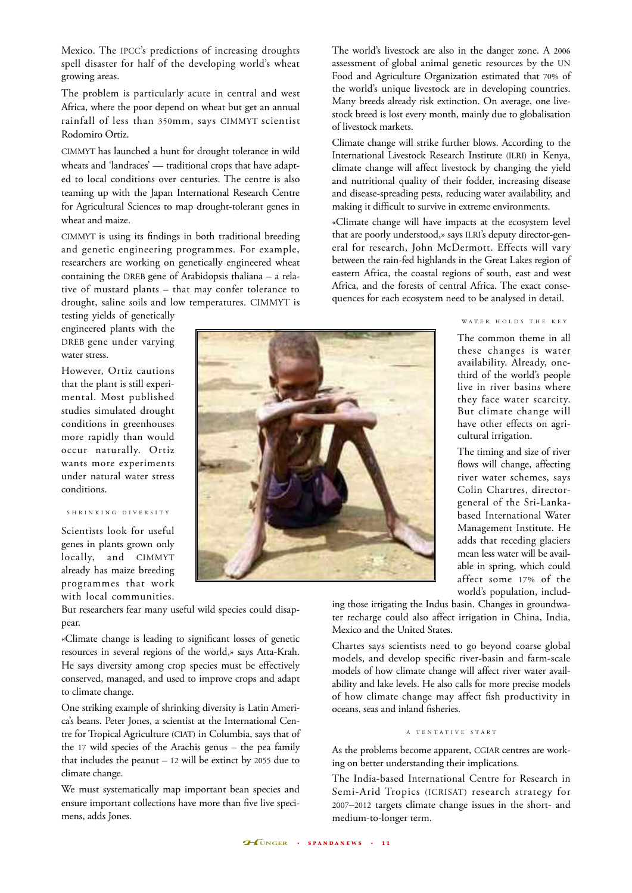Mexico. The IPCC's predictions of increasing droughts spell disaster for half of the developing world's wheat growing areas.

The problem is particularly acute in central and west Africa, where the poor depend on wheat but get an annual rainfall of less than 350mm, says CIMMYT scientist Rodomiro Ortiz.

CIMMYT has launched a hunt for drought tolerance in wild wheats and 'landraces' — traditional crops that have adapted to local conditions over centuries. The centre is also teaming up with the Japan International Research Centre for Agricultural Sciences to map drought-tolerant genes in wheat and maize.

CIMMYT is using its findings in both traditional breeding and genetic engineering programmes. For example, researchers are working on genetically engineered wheat containing the DREB gene of Arabidopsis thaliana – a relative of mustard plants – that may confer tolerance to drought, saline soils and low temperatures. CIMMYT is

testing yields of genetically engineered plants with the DREB gene under varying water stress.

However, Ortiz cautions that the plant is still experimental. Most published studies simulated drought conditions in greenhouses more rapidly than would occur naturally. Ortiz wants more experiments under natural water stress conditions.

## S HRINKING DIVERSITY

Scientists look for useful genes in plants grown only locally, and CIMMYT already has maize breeding programmes that work with local communities.

But researchers fear many useful wild species could disappear.

«Climate change is leading to significant losses of genetic resources in several regions of the world,» says Atta-Krah. He says diversity among crop species must be effectively conserved, managed, and used to improve crops and adapt to climate change.

One striking example of shrinking diversity is Latin America's beans. Peter Jones, a scientist at the International Centre for Tropical Agriculture (CIAT) in Columbia, says that of the 17 wild species of the Arachis genus – the pea family that includes the peanut – 12 will be extinct by 2055 due to climate change.

We must systematically map important bean species and ensure important collections have more than five live specimens, adds Jones.



The world's livestock are also in the danger zone. A 2006 assessment of global animal genetic resources by the UN Food and Agriculture Organization estimated that 70% of the world's unique livestock are in developing countries. Many breeds already risk extinction. On average, one livestock breed is lost every month, mainly due to globalisation of livestock markets.

Climate change will strike further blows. According to the International Livestock Research Institute (ILRI) in Kenya, climate change will affect livestock by changing the yield and nutritional quality of their fodder, increasing disease and disease-spreading pests, reducing water availability, and making it difficult to survive in extreme environments.

«Climate change will have impacts at the ecosystem level that are poorly understood,» says ILRI's deputy director-general for research, John McDermott. Effects will vary between the rain-fed highlands in the Great Lakes region of eastern Africa, the coastal regions of south, east and west Africa, and the forests of central Africa. The exact consequences for each ecosystem need to be analysed in detail.

## W ATER HOLDS THE KEY

The common theme in all these changes is water availability. Already, onethird of the world's people live in river basins where they face water scarcity. But climate change will have other effects on agricultural irrigation.

The timing and size of river flows will change, affecting river water schemes, says Colin Chartres, directorgeneral of the Sri-Lankabased International Water Management Institute. He adds that receding glaciers mean less water will be available in spring, which could affect some 17% of the world's population, includ-

ing those irrigating the Indus basin. Changes in groundwater recharge could also affect irrigation in China, India, Mexico and the United States.

Chartes says scientists need to go beyond coarse global models, and develop specific river-basin and farm-scale models of how climate change will affect river water availability and lake levels. He also calls for more precise models of how climate change may affect fish productivity in oceans, seas and inland fisheries.

#### A TENTATIVE START

As the problems become apparent, CGIAR centres are working on better understanding their implications.

The India-based International Centre for Research in Semi-Arid Tropics (ICRISAT) research strategy for 2007–2012 targets climate change issues in the short- and medium-to-longer term.